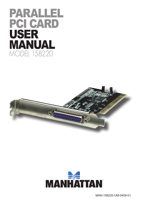# Parallel PCI CARD **USER MANUAL** Model 158220





MAN-158220-UM-0409-01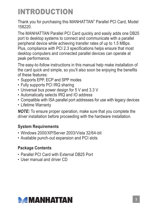## introduction

Thank you for purchasing this MANHATTAN® Parallel PCI Card, Model 158220.

The MANHATTAN Parallel PCI Card quickly and easily adds one DB25 port to desktop systems to connect and communicate with a parallel peripheral device while achieving transfer rates of up to 1.5 MBps. Plus, compliance with PCI 2.3 specifications helps ensure that most desktop computers and connected parallel devices can operate at peak performance.

The easy-to-follow instructions in this manual help make installation of the card quick and simple, so you'll also soon be enjoying the benefits of these features:

- Supports EPP, ECP and SPP modes
- Fully supports PCI IRQ sharing
- Universal bus power design for 5 V and 3.3 V
- Automatically selects IRQ and IO address
- Compatible with ISA parallel port addresses for use with legacy devices
- Lifetime Warranty

*NOTE:* To ensure proper operation, make sure that you complete the driver installation before proceeding with the hardware installation.

#### **System Requirements**

- Windows 2000/XP/Server 2003/Vista 32/64-bit
- Available punch-out expansion and PCI slots

### **Package Contents**

- Parallel PCI Card with External DB25 Port
- User manual and driver CD

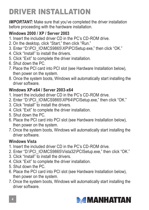## driver installation

**IMPORTANT:** Make sure that you've completed the driver installation before proceeding with the hardware installation.

## **Windows 2000 / XP / Server 2003**

- 1. Insert the included driver CD in the PC's CD-ROM drive.
- 2. On the desktop, click "Start," then click "Run."
- 3. Enter "D:\PCI\_IO\MCS9865\XP\PciSetup.exe," then click "OK."
- 4. Click "Install" to install the drivers
- 5. Click "Exit" to complete the driver installation.
- 6. Shut down the PC.
- 7. Place the PCI card into PCI slot (see Hardware Installation below), then power on the system.
- 8. Once the system boots, Windows will automatically start installing the driver software.

## **Windows XP-x64 / Server 2003-x64**

- 1. Insert the included driver CD in the PC's CD-ROM drive.
- 2. Enter "D:\PCI\_IO\MCS9865\XP64\PciSetup.exe," then click "OK."
- 3. Click "Install" to install the drivers.
- 4. Click "Exit" to complete the driver installation.
- 5. Shut down the PC.
- 6. Place the PCI card into PCI slot (see Hardware Installation below), then power on the system.
- 7. Once the system boots, Windows will automatically start installing the driver software.

### **Windows Vista**

- 1. Insert the included driver CD in the PC's CD-ROM drive.
- 2. Enter "D:\PCI\_IO\MCS9865\Vista32\PCISetup.exe," then click "OK."
- 3. Click "Install" to install the drivers.
- 4. Click "Exit" to complete the driver installation.
- 5. Shut down the PC.
- 6. Place the PCI card into PCI slot (see Hardware Installation below), then power on the system.
- 7. Once the system boots, Windows will automatically start installing the driver software.

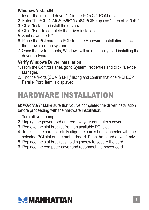#### **Windows Vista-x64**

- 1. Insert the included driver CD in the PC's CD-ROM drive.
- 2. Enter "D:\PCI\_IO\MCS9865\Vista64\PCISetup.exe," then click "OK."
- 3. Click "Install" to install the drivers.
- 4. Click "Exit" to complete the driver installation.
- 5. Shut down the PC.
- 6. Place the PCI card into PCI slot (see Hardware Installation below), then power on the system.
- 7. Once the system boots, Windows will automatically start installing the driver software.

#### **Verify Windows Driver Installation**

- 1. From the Control Panel, go to System Properties and click "Device Manager."
- 2. Find the "Ports (COM & LPT)" listing and confirm that one "PCI ECP Parallel Port" item is displayed.

## hardware installation

**IMPORTANT:** Make sure that you've completed the driver installation before proceeding with the hardware installation.

- 1. Turn off your computer.
- 2. Unplug the power cord and remove your computer's cover.
- 3. Remove the slot bracket from an available PCI slot.
- 4. To install the card, carefully align the card's bus connector with the selected PCI slot on the motherboard. Push the board down firmly.
- 5. Replace the slot bracket's holding screw to secure the card.
- 6. Replace the computer cover and reconnect the power cord.

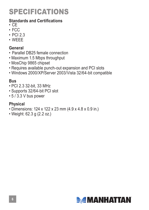## **SPECIFICATIONS**

### **Standards and Certifications**

- CE
- FCC
- PCI 2.3
- WEEE

#### **General**

- Parallel DB25 female connection
- Maximum 1.5 Mbps throughput
- MosChip 9865 chipset
- Requires available punch-out expansion and PCI slots
- Windows 2000/XP/Server 2003/Vista 32/64-bit compatible

### **Bus**

- PCI 2.3 32-bit, 33 MHz
- Supports 32/64-bit PCI slot
- $\cdot$  5/3.3 V bus power

#### **Physical**

- Dimensions: 124 x 122 x 23 mm (4.9 x 4.8 x 0.9 in.)
- Weight: 62.3 g (2.2 oz.)